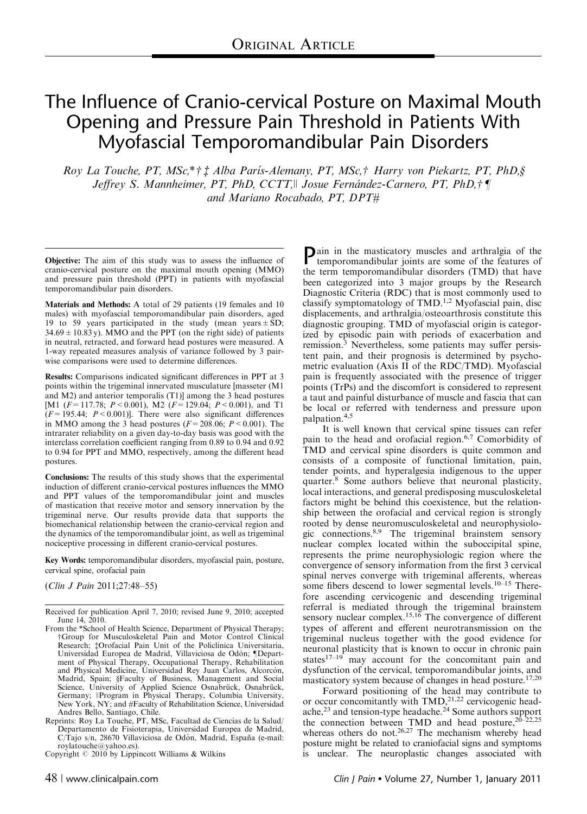# The Influence of Cranio-cervical Posture on Maximal Mouth Opening and Pressure Pain Threshold in Patients With Myofascial Temporomandibular Pain Disorders

Roy La Touche, PT,  $MSc_*^* \ddot{\tau} \ddot{\tau}$  Alba París-Alemany, PT,  $MSc_*\ddot{\tau}$  Harry von Piekartz, PT, PhD, $\dot{\xi}$ Jeffrey S. Mannheimer, PT, PhD, CCTT, Josue Fernández-Carnero, PT, PhD,†¶ and Mariano Rocabado, PT, DPT#

Objective: The aim of this study was to assess the influence of cranio-cervical posture on the maximal mouth opening (MMO) and pressure pain threshold (PPT) in patients with myofascial temporomandibular pain disorders.

Materials and Methods: A total of 29 patients (19 females and 10 males) with myofascial temporomandibular pain disorders, aged 19 to 59 years participated in the study (mean years  $\pm$  SD;  $34.69 \pm 10.83$  y). MMO and the PPT (on the right side) of patients in neutral, retracted, and forward head postures were measured. A 1-way repeated measures analysis of variance followed by 3 pairwise comparisons were used to determine differences.

Results: Comparisons indicated significant differences in PPT at 3 points within the trigeminal innervated musculature [masseter (M1 and M2) and anterior temporalis (T1)] among the 3 head postures [M1 ( $F=117.78$ ;  $P < 0.001$ ), M2 ( $F=129.04$ ;  $P < 0.001$ ), and T1  $(F=195.44; P<0.001)$ . There were also significant differences in MMO among the 3 head postures ( $F=208.06$ ;  $P < 0.001$ ). The intrarater reliability on a given day-to-day basis was good with the interclass correlation coefficient ranging from 0.89 to 0.94 and 0.92 to 0.94 for PPT and MMO, respectively, among the different head postures.

Conclusions: The results of this study shows that the experimental induction of different cranio-cervical postures influences the MMO and PPT values of the temporomandibular joint and muscles of mastication that receive motor and sensory innervation by the trigeminal nerve. Our results provide data that supports the biomechanical relationship between the cranio-cervical region and the dynamics of the temporomandibular joint, as well as trigeminal nociceptive processing in different cranio-cervical postures.

Key Words: temporomandibular disorders, myofascial pain, posture, cervical spine, orofacial pain

(Clin J Pain 2011;27:48–55)

- From the \*School of Health Science, Department of Physical Therapy;  $\dagger$ Group for Musculoskeletal Pain and Motor Control Clinical Research; ‡Orofacial Pain Unit of the Policlínica Universitaria, Universidad Europea de Madrid, Villaviciosa de Odón; <sup>I</sup>Department of Physical Therapy, Occupational Therapy, Rehabilitation<br>and Physical Medicine, Universidad Rey Juan Carlos, Alcorcón, Madrid, Spain; §Faculty of Business, Management and Social<br>Science, University of Applied Science Osnabrück, Osnabrück,<br>Germany; ∥Program in Physical Therapy, Columbia University, New York, NY; and #Faculty of Rehabilitation Science, Universidad Andres Bello, Santiago, Chile.
- Reprints: Roy La Touche, PT, MSc, Facultad de Ciencias de la Salud/ Departamento de Fisioterapia, Universidad Europea de Madrid,  $C/Ta$ jo s/n, 28670 Villaviciosa de Odón, Madrid, España (e-mail: roylatouche@yahoo.es).

Pain in the masticatory muscles and arthralgia of the temporomandibular joints are some of the features of the term temporomandibular disorders (TMD) that have been categorized into 3 major groups by the Research Diagnostic Criteria (RDC) that is most commonly used to classify symptomatology of TMD.1,2 Myofascial pain, disc displacements, and arthralgia/osteoarthrosis constitute this diagnostic grouping. TMD of myofascial origin is categorized by episodic pain with periods of exacerbation and remission.<sup>3</sup> Nevertheless, some patients may suffer persistent pain, and their prognosis is determined by psychometric evaluation (Axis II of the RDC/TMD). Myofascial pain is frequently associated with the presence of trigger points (TrPs) and the discomfort is considered to represent a taut and painful disturbance of muscle and fascia that can be local or referred with tenderness and pressure upon palpation.4,5

It is well known that cervical spine tissues can refer pain to the head and orofacial region.6,7 Comorbidity of TMD and cervical spine disorders is quite common and consists of a composite of functional limitation, pain, tender points, and hyperalgesia indigenous to the upper quarter.<sup>8</sup> Some authors believe that neuronal plasticity, local interactions, and general predisposing musculoskeletal factors might be behind this coexistence, but the relationship between the orofacial and cervical region is strongly rooted by dense neuromusculoskeletal and neurophysiologic connections.8,9 The trigeminal brainstem sensory nuclear complex located within the suboccipital spine, represents the prime neurophysiologic region where the convergence of sensory information from the first 3 cervical spinal nerves converge with trigeminal afferents, whereas some fibers descend to lower segmental levels.<sup>10–15</sup> Therefore ascending cervicogenic and descending trigeminal referral is mediated through the trigeminal brainstem sensory nuclear complex.<sup>15,16</sup> The convergence of different types of afferent and efferent neurotransmission on the trigeminal nucleus together with the good evidence for neuronal plasticity that is known to occur in chronic pain states $17-19$  may account for the concomitant pain and dysfunction of the cervical, temporomandibular joints, and masticatory system because of changes in head posture.<sup>17,20</sup>

Forward positioning of the head may contribute to or occur concomitantly with  $\text{TMD},^{21,22}$  cervicogenic headache,<sup>23</sup> and tension-type headache.<sup>24</sup> Some authors support the connection between TMD and head posture,  $2\overline{0}$ –22,25 whereas others do not.<sup>26,27</sup> The mechanism whereby head posture might be related to craniofacial signs and symptoms Copyright © 2010 by Lippincott Williams & Wilkins is unclear. The neuroplastic changes associated with

Received for publication April 7, 2010; revised June 9, 2010; accepted June 14, 2010.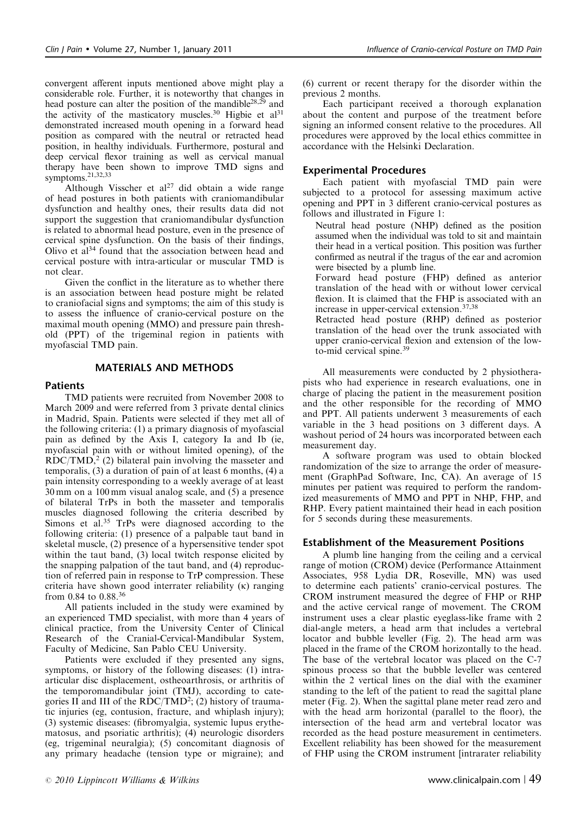convergent afferent inputs mentioned above might play a considerable role. Further, it is noteworthy that changes in head posture can alter the position of the mandible<sup>28,29</sup> and the activity of the masticatory muscles.<sup>30</sup> Higbie et  $al<sup>31</sup>$ demonstrated increased mouth opening in a forward head position as compared with the neutral or retracted head position, in healthy individuals. Furthermore, postural and deep cervical flexor training as well as cervical manual therapy have been shown to improve TMD signs and symptoms.21,32,33

Although Visscher et  $al^{27}$  did obtain a wide range of head postures in both patients with craniomandibular dysfunction and healthy ones, their results data did not support the suggestion that craniomandibular dysfunction is related to abnormal head posture, even in the presence of cervical spine dysfunction. On the basis of their findings, Olivo et  $al<sup>34</sup>$  found that the association between head and cervical posture with intra-articular or muscular TMD is not clear.

Given the conflict in the literature as to whether there is an association between head posture might be related to craniofacial signs and symptoms; the aim of this study is to assess the influence of cranio-cervical posture on the maximal mouth opening (MMO) and pressure pain threshold (PPT) of the trigeminal region in patients with myofascial TMD pain.

# MATERIALS AND METHODS

## Patients

TMD patients were recruited from November 2008 to March 2009 and were referred from 3 private dental clinics in Madrid, Spain. Patients were selected if they met all of the following criteria: (1) a primary diagnosis of myofascial pain as defined by the Axis I, category Ia and Ib (ie, myofascial pain with or without limited opening), of the  $RDC/TMD<sub>1</sub><sup>2</sup>$  (2) bilateral pain involving the masseter and temporalis, (3) a duration of pain of at least 6 months, (4) a pain intensity corresponding to a weekly average of at least 30 mm on a 100 mm visual analog scale, and (5) a presence of bilateral TrPs in both the masseter and temporalis muscles diagnosed following the criteria described by Simons et al.<sup>35</sup> TrPs were diagnosed according to the following criteria: (1) presence of a palpable taut band in skeletal muscle, (2) presence of a hypersensitive tender spot within the taut band, (3) local twitch response elicited by the snapping palpation of the taut band, and (4) reproduction of referred pain in response to TrP compression. These criteria have shown good interrater reliability (k) ranging from 0.84 to 0.88.36

All patients included in the study were examined by an experienced TMD specialist, with more than 4 years of clinical practice, from the University Center of Clinical Research of the Cranial-Cervical-Mandibular System, Faculty of Medicine, San Pablo CEU University.

Patients were excluded if they presented any signs, symptoms, or history of the following diseases: (1) intraarticular disc displacement, ostheoarthrosis, or arthritis of the temporomandibular joint (TMJ), according to categories II and III of the  $RDC/TMD^2$ ; (2) history of traumatic injuries (eg, contusion, fracture, and whiplash injury); (3) systemic diseases: (fibromyalgia, systemic lupus erythematosus, and psoriatic arthritis); (4) neurologic disorders (eg, trigeminal neuralgia); (5) concomitant diagnosis of any primary headache (tension type or migraine); and

(6) current or recent therapy for the disorder within the previous 2 months.

Each participant received a thorough explanation about the content and purpose of the treatment before signing an informed consent relative to the procedures. All procedures were approved by the local ethics committee in accordance with the Helsinki Declaration.

# Experimental Procedures

Each patient with myofascial TMD pain were subjected to a protocol for assessing maximum active opening and PPT in 3 different cranio-cervical postures as follows and illustrated in Figure 1:

Neutral head posture (NHP) defined as the position assumed when the individual was told to sit and maintain their head in a vertical position. This position was further confirmed as neutral if the tragus of the ear and acromion were bisected by a plumb line.

Forward head posture (FHP) defined as anterior translation of the head with or without lower cervical flexion. It is claimed that the FHP is associated with an increase in upper-cervical extension.37,38

Retracted head posture (RHP) defined as posterior translation of the head over the trunk associated with upper cranio-cervical flexion and extension of the lowto-mid cervical spine.<sup>39</sup>

All measurements were conducted by 2 physiotherapists who had experience in research evaluations, one in charge of placing the patient in the measurement position and the other responsible for the recording of MMO and PPT. All patients underwent 3 measurements of each variable in the 3 head positions on 3 different days. A washout period of 24 hours was incorporated between each measurement day.

A software program was used to obtain blocked randomization of the size to arrange the order of measurement (GraphPad Software, Inc, CA). An average of 15 minutes per patient was required to perform the randomized measurements of MMO and PPT in NHP, FHP, and RHP. Every patient maintained their head in each position for 5 seconds during these measurements.

## Establishment of the Measurement Positions

A plumb line hanging from the ceiling and a cervical range of motion (CROM) device (Performance Attainment Associates, 958 Lydia DR, Roseville, MN) was used to determine each patients' cranio-cervical postures. The CROM instrument measured the degree of FHP or RHP and the active cervical range of movement. The CROM instrument uses a clear plastic eyeglass-like frame with 2 dial-angle meters, a head arm that includes a vertebral locator and bubble leveller (Fig. 2). The head arm was placed in the frame of the CROM horizontally to the head. The base of the vertebral locator was placed on the C-7 spinous process so that the bubble leveller was centered within the 2 vertical lines on the dial with the examiner standing to the left of the patient to read the sagittal plane meter (Fig. 2). When the sagittal plane meter read zero and with the head arm horizontal (parallel to the floor), the intersection of the head arm and vertebral locator was recorded as the head posture measurement in centimeters. Excellent reliability has been showed for the measurement of FHP using the CROM instrument [intrarater reliability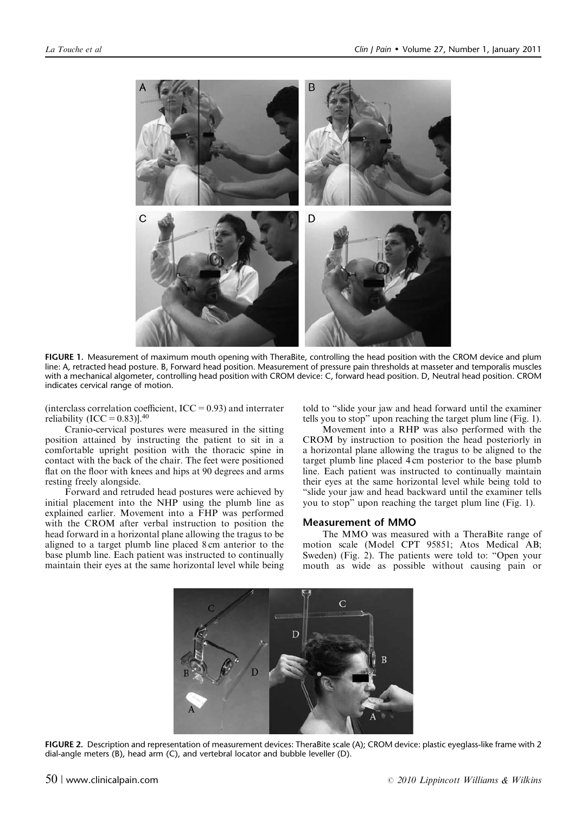

FIGURE 1. Measurement of maximum mouth opening with TheraBite, controlling the head position with the CROM device and plum line: A, retracted head posture. B, Forward head position. Measurement of pressure pain thresholds at masseter and temporalis muscles with a mechanical algometer, controlling head position with CROM device: C, forward head position. D, Neutral head position. CROM indicates cervical range of motion.

(interclass correlation coefficient,  $ICC = 0.93)$  and interrater reliability  $(ICC=0.83)]^{40}$ 

Cranio-cervical postures were measured in the sitting position attained by instructing the patient to sit in a comfortable upright position with the thoracic spine in contact with the back of the chair. The feet were positioned flat on the floor with knees and hips at 90 degrees and arms resting freely alongside.

Forward and retruded head postures were achieved by initial placement into the NHP using the plumb line as explained earlier. Movement into a FHP was performed with the CROM after verbal instruction to position the head forward in a horizontal plane allowing the tragus to be aligned to a target plumb line placed 8 cm anterior to the base plumb line. Each patient was instructed to continually maintain their eyes at the same horizontal level while being told to "slide your jaw and head forward until the examiner tells you to stop" upon reaching the target plum line (Fig. 1).

Movement into a RHP was also performed with the CROM by instruction to position the head posteriorly in a horizontal plane allowing the tragus to be aligned to the target plumb line placed 4 cm posterior to the base plumb line. Each patient was instructed to continually maintain their eyes at the same horizontal level while being told to "slide your jaw and head backward until the examiner tells you to stop" upon reaching the target plum line (Fig. 1).

## Measurement of MMO

The MMO was measured with a TheraBite range of motion scale (Model CPT 95851; Atos Medical AB; Sweden) (Fig. 2). The patients were told to: "Open your mouth as wide as possible without causing pain or



FIGURE 2. Description and representation of measurement devices: TheraBite scale (A); CROM device: plastic eyeglass-like frame with 2 dial-angle meters (B), head arm (C), and vertebral locator and bubble leveller (D).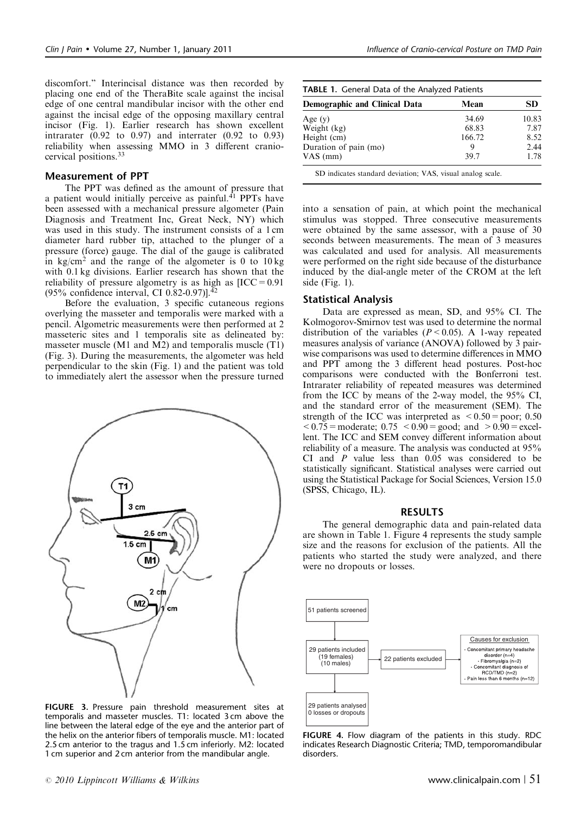discomfort." Interincisal distance was then recorded by placing one end of the TheraBite scale against the incisal edge of one central mandibular incisor with the other end against the incisal edge of the opposing maxillary central incisor (Fig. 1). Earlier research has shown excellent intrarater  $(0.92 \text{ to } 0.97)$  and interrater  $(0.92 \text{ to } 0.93)$ reliability when assessing MMO in 3 different craniocervical positions.<sup>33</sup>

## Measurement of PPT

The PPT was defined as the amount of pressure that a patient would initially perceive as painful. $^{41}$  PPTs have been assessed with a mechanical pressure algometer (Pain Diagnosis and Treatment Inc, Great Neck, NY) which was used in this study. The instrument consists of a 1 cm diameter hard rubber tip, attached to the plunger of a pressure (force) gauge. The dial of the gauge is calibrated in kg/cm<sup>2</sup> and the range of the algometer is 0 to  $10 \text{ kg}$ with 0.1 kg divisions. Earlier research has shown that the reliability of pressure algometry is as high as  $[ICC = 0.91]$ (95% confidence interval, CI 0.82-0.97)].<sup>42</sup>

Before the evaluation, 3 specific cutaneous regions overlying the masseter and temporalis were marked with a pencil. Algometric measurements were then performed at 2 masseteric sites and 1 temporalis site as delineated by: masseter muscle (M1 and M2) and temporalis muscle (T1) (Fig. 3). During the measurements, the algometer was held perpendicular to the skin (Fig. 1) and the patient was told to immediately alert the assessor when the pressure turned



FIGURE 3. Pressure pain threshold measurement sites at temporalis and masseter muscles. T1: located 3 cm above the line between the lateral edge of the eye and the anterior part of the helix on the anterior fibers of temporalis muscle. M1: located 2.5 cm anterior to the tragus and 1.5 cm inferiorly. M2: located 1 cm superior and 2 cm anterior from the mandibular angle.

| Demographic and Clinical Data | Mean   | SD    |
|-------------------------------|--------|-------|
| Age $(y)$                     | 34.69  | 10.83 |
| Weight (kg)                   | 68.83  | 7.87  |
| Height (cm)                   | 166.72 | 8.52  |
| Duration of pain (mo)         | 9      | 2.44  |
| $VAS$ (mm)                    | 39.7   | 1.78  |

SD indicates standard deviation; VAS, visual analog scale.

into a sensation of pain, at which point the mechanical stimulus was stopped. Three consecutive measurements were obtained by the same assessor, with a pause of 30 seconds between measurements. The mean of 3 measures was calculated and used for analysis. All measurements were performed on the right side because of the disturbance induced by the dial-angle meter of the CROM at the left side (Fig. 1).

#### Statistical Analysis

Data are expressed as mean, SD, and 95% CI. The Kolmogorov-Smirnov test was used to determine the normal distribution of the variables ( $P < 0.05$ ). A 1-way repeated measures analysis of variance (ANOVA) followed by 3 pairwise comparisons was used to determine differences in MMO and PPT among the 3 different head postures. Post-hoc comparisons were conducted with the Bonferroni test. Intrarater reliability of repeated measures was determined from the ICC by means of the 2-way model, the 95% CI, and the standard error of the measurement (SEM). The strength of the ICC was interpreted as  $\leq 0.50 =$  poor; 0.50  $0.75$  = moderate; 0.75  $\leq$  0.90 = good; and  $>$  0.90 = excellent. The ICC and SEM convey different information about reliability of a measure. The analysis was conducted at 95% CI and  $P$  value less than  $0.05$  was considered to be statistically significant. Statistical analyses were carried out using the Statistical Package for Social Sciences, Version 15.0 (SPSS, Chicago, IL).

#### RESULTS

The general demographic data and pain-related data are shown in Table 1. Figure 4 represents the study sample size and the reasons for exclusion of the patients. All the patients who started the study were analyzed, and there were no dropouts or losses.



FIGURE 4. Flow diagram of the patients in this study. RDC indicates Research Diagnostic Criteria; TMD, temporomandibular disorders.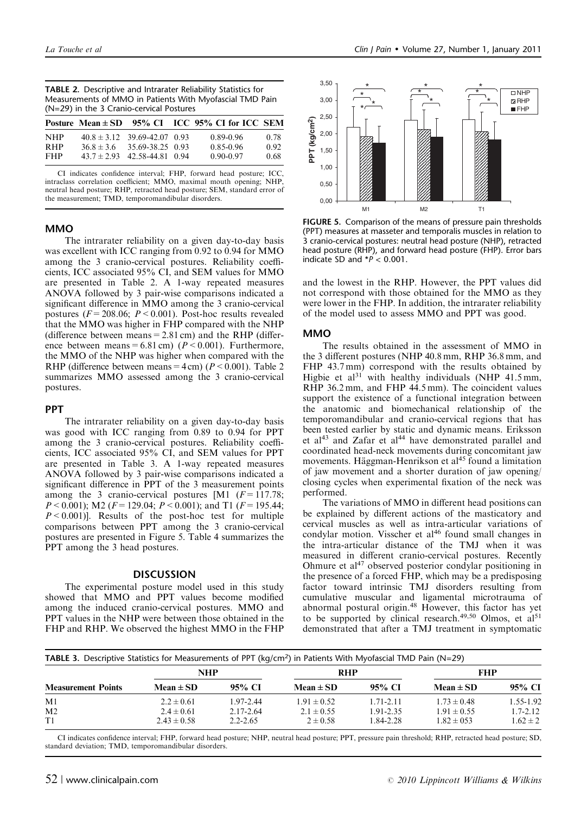| <b>TABLE 2.</b> Descriptive and Intrarater Reliability Statistics for |
|-----------------------------------------------------------------------|
| Measurements of MMO in Patients With Myofascial TMD Pain              |
| $(N=29)$ in the 3 Cranio-cervical Postures                            |

|                     | Posture Mean $\pm$ SD |                                                    | - 95% CI - ICC-95% CI for ICC-SEM |              |
|---------------------|-----------------------|----------------------------------------------------|-----------------------------------|--------------|
| <b>NHP</b><br>R H P | $368 + 36$            | $40.8 + 3.12$ 39.69-42.07 0.93<br>35.69-38.25 0.93 | 0.89-0.96<br>0.85-0.96            | 0.78<br>0.92 |
| <b>FHP</b>          |                       | $43.7 \pm 2.93$ $42.58 - 44.81$ 0.94               | $0.90 - 0.97$                     | 0.68         |

CI indicates confidence interval; FHP, forward head posture; ICC, intraclass correlation coefficient; MMO, maximal mouth opening; NHP, neutral head posture; RHP, retracted head posture; SEM, standard error of the measurement; TMD, temporomandibular disorders.

## MMO

The intrarater reliability on a given day-to-day basis was excellent with ICC ranging from 0.92 to 0.94 for MMO among the 3 cranio-cervical postures. Reliability coefficients, ICC associated 95% CI, and SEM values for MMO are presented in Table 2. A 1-way repeated measures ANOVA followed by 3 pair-wise comparisons indicated a significant difference in MMO among the 3 cranio-cervical postures ( $F = 208.06$ ;  $P < 0.001$ ). Post-hoc results revealed that the MMO was higher in FHP compared with the NHP (difference between means  $= 2.81$  cm) and the RHP (difference between means = 6.81 cm) ( $P < 0.001$ ). Furthermore, the MMO of the NHP was higher when compared with the RHP (difference between means = 4 cm) ( $P < 0.001$ ). Table 2 summarizes MMO assessed among the 3 cranio-cervical postures.

## PPT

The intrarater reliability on a given day-to-day basis was good with ICC ranging from 0.89 to 0.94 for PPT among the 3 cranio-cervical postures. Reliability coefficients, ICC associated 95% CI, and SEM values for PPT are presented in Table 3. A 1-way repeated measures ANOVA followed by 3 pair-wise comparisons indicated a significant difference in PPT of the 3 measurement points among the 3 cranio-cervical postures [M1 ( $F=117.78$ ;  $P < 0.001$ ); M2 ( $F = 129.04$ ;  $P < 0.001$ ); and T1 ( $F = 195.44$ ;  $P < 0.001$ ]. Results of the post-hoc test for multiple comparisons between PPT among the 3 cranio-cervical postures are presented in Figure 5. Table 4 summarizes the PPT among the 3 head postures.

#### **DISCUSSION**

The experimental posture model used in this study showed that MMO and PPT values become modified among the induced cranio-cervical postures. MMO and PPT values in the NHP were between those obtained in the FHP and RHP. We observed the highest MMO in the FHP



FIGURE 5. Comparison of the means of pressure pain thresholds (PPT) measures at masseter and temporalis muscles in relation to 3 cranio-cervical postures: neutral head posture (NHP), retracted head posture (RHP), and forward head posture (FHP). Error bars indicate SD and  $*P < 0.001$ .

and the lowest in the RHP. However, the PPT values did not correspond with those obtained for the MMO as they were lower in the FHP. In addition, the intrarater reliability of the model used to assess MMO and PPT was good.

#### MMO

The results obtained in the assessment of MMO in the 3 different postures (NHP 40.8 mm, RHP 36.8 mm, and FHP 43.7 mm) correspond with the results obtained by Higbie et al<sup>31</sup> with healthy individuals (NHP 41.5 mm, RHP 36.2 mm, and FHP 44.5 mm). The coincident values support the existence of a functional integration between the anatomic and biomechanical relationship of the temporomandibular and cranio-cervical regions that has been tested earlier by static and dynamic means. Eriksson et al<sup>43</sup> and Zafar et al<sup>44</sup> have demonstrated parallel and coordinated head-neck movements during concomitant jaw movements. Häggman-Henrikson et al<sup>45</sup> found a limitation of jaw movement and a shorter duration of jaw opening/ closing cycles when experimental fixation of the neck was performed.

The variations of MMO in different head positions can be explained by different actions of the masticatory and cervical muscles as well as intra-articular variations of condylar motion. Visscher et al<sup>46</sup> found small changes in the intra-articular distance of the TMJ when it was measured in different cranio-cervical postures. Recently Ohmure et al<sup>47</sup> observed posterior condylar positioning in the presence of a forced FHP, which may be a predisposing factor toward intrinsic TMJ disorders resulting from cumulative muscular and ligamental microtrauma of abnormal postural origin.<sup>48</sup> However, this factor has yet to be supported by clinical research.<sup>49,50</sup> Olmos, et al<sup>51</sup> demonstrated that after a TMJ treatment in symptomatic

| <b>TABLE 3.</b> Descriptive Statistics for Measurements of PPT ( $kg/cm2$ ) in Patients With Myofascial TMD Pain (N=29) |                 |              |                 |               |                 |              |  |  |
|-------------------------------------------------------------------------------------------------------------------------|-----------------|--------------|-----------------|---------------|-----------------|--------------|--|--|
| <b>Measurement Points</b>                                                                                               | NHP             |              | <b>RHP</b>      |               | <b>FHP</b>      |              |  |  |
|                                                                                                                         | $Mean \pm SD$   | 95% CI       | $Mean \pm SD$   | 95% CI        | $Mean \pm SD$   | 95% CI       |  |  |
| M1                                                                                                                      | $2.2 \pm 0.61$  | 1.97-2.44    | $1.91 \pm 0.52$ | $1.71 - 2.11$ | $1.73 \pm 0.48$ | 1.55-1.92    |  |  |
| M <sub>2</sub>                                                                                                          | $2.4 \pm 0.61$  | 2.17-2.64    | $2.1 \pm 0.55$  | 1.91-2.35     | $1.91 \pm 0.55$ | $1.7 - 2.12$ |  |  |
| T1                                                                                                                      | $2.43 \pm 0.58$ | $2.2 - 2.65$ | $2 \pm 0.58$    | 1.84-2.28     | $1.82 \pm 0.53$ | $1.62 \pm 2$ |  |  |

CI indicates confidence interval; FHP, forward head posture; NHP, neutral head posture; PPT, pressure pain threshold; RHP, retracted head posture; SD, standard deviation; TMD, temporomandibular disorders.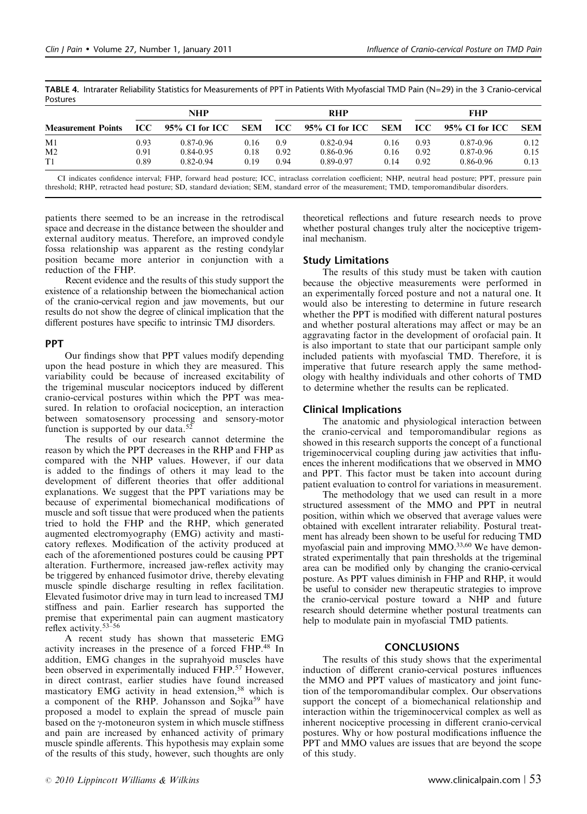| r ostures                 |      |                   |            |            |                   |            |      |                |            |
|---------------------------|------|-------------------|------------|------------|-------------------|------------|------|----------------|------------|
|                           | NHP  |                   |            | <b>RHP</b> |                   |            | FHP  |                |            |
| <b>Measurement Points</b> | ICC. | $95\%$ CI for ICC | <b>SEM</b> | ICC        | $95\%$ CI for ICC | <b>SEM</b> | ICC. | 95% CI for ICC | <b>SEM</b> |
| M1                        | 0.93 | $0.87 - 0.96$     | 0.16       | 0.9        | $0.82 - 0.94$     | 0.16       | 0.93 | 0.87-0.96      | 0.12       |
| M <sub>2</sub>            | 0.91 | 0.84-0.95         | 0.18       | 0.92       | 0.86-0.96         | 0.16       | 0.92 | 0.87-0.96      | 0.15       |
| T1                        | 0.89 | $0.82 - 0.94$     | 0.19       | 0.94       | 0.89-0.97         | 0.14       | 0.92 | 0.86-0.96      | 0.13       |

TABLE 4. Intrarater Reliability Statistics for Measurements of PPT in Patients With Myofascial TMD Pain (N=29) in the 3 Cranio-cervical Postures

CI indicates confidence interval; FHP, forward head posture; ICC, intraclass correlation coefficient; NHP, neutral head posture; PPT, pressure pain threshold; RHP, retracted head posture; SD, standard deviation; SEM, standard error of the measurement; TMD, temporomandibular disorders.

patients there seemed to be an increase in the retrodiscal space and decrease in the distance between the shoulder and external auditory meatus. Therefore, an improved condyle fossa relationship was apparent as the resting condylar position became more anterior in conjunction with a reduction of the FHP.

Recent evidence and the results of this study support the existence of a relationship between the biomechanical action of the cranio-cervical region and jaw movements, but our results do not show the degree of clinical implication that the different postures have specific to intrinsic TMJ disorders.

## PPT

Our findings show that PPT values modify depending upon the head posture in which they are measured. This variability could be because of increased excitability of the trigeminal muscular nociceptors induced by different cranio-cervical postures within which the PPT was measured. In relation to orofacial nociception, an interaction between somatosensory processing and sensory-motor function is supported by our data.<sup>52</sup>

The results of our research cannot determine the reason by which the PPT decreases in the RHP and FHP as compared with the NHP values. However, if our data is added to the findings of others it may lead to the development of different theories that offer additional explanations. We suggest that the PPT variations may be because of experimental biomechanical modifications of muscle and soft tissue that were produced when the patients tried to hold the FHP and the RHP, which generated augmented electromyography (EMG) activity and masticatory reflexes. Modification of the activity produced at each of the aforementioned postures could be causing PPT alteration. Furthermore, increased jaw-reflex activity may be triggered by enhanced fusimotor drive, thereby elevating muscle spindle discharge resulting in reflex facilitation. Elevated fusimotor drive may in turn lead to increased TMJ stiffness and pain. Earlier research has supported the premise that experimental pain can augment masticatory reflex activity.53–56

A recent study has shown that masseteric EMG activity increases in the presence of a forced FHP.<sup>48</sup> In addition, EMG changes in the suprahyoid muscles have been observed in experimentally induced FHP.<sup>57</sup> However, in direct contrast, earlier studies have found increased masticatory EMG activity in head extension,<sup>58</sup> which is a component of the RHP. Johansson and Sojka<sup>59</sup> have proposed a model to explain the spread of muscle pain based on the  $\gamma$ -motoneuron system in which muscle stiffness and pain are increased by enhanced activity of primary muscle spindle afferents. This hypothesis may explain some of the results of this study, however, such thoughts are only theoretical reflections and future research needs to prove whether postural changes truly alter the nociceptive trigeminal mechanism.

# Study Limitations

The results of this study must be taken with caution because the objective measurements were performed in an experimentally forced posture and not a natural one. It would also be interesting to determine in future research whether the PPT is modified with different natural postures and whether postural alterations may affect or may be an aggravating factor in the development of orofacial pain. It is also important to state that our participant sample only included patients with myofascial TMD. Therefore, it is imperative that future research apply the same methodology with healthy individuals and other cohorts of TMD to determine whether the results can be replicated.

# Clinical Implications

The anatomic and physiological interaction between the cranio-cervical and temporomandibular regions as showed in this research supports the concept of a functional trigeminocervical coupling during jaw activities that influences the inherent modifications that we observed in MMO and PPT. This factor must be taken into account during patient evaluation to control for variations in measurement.

The methodology that we used can result in a more structured assessment of the MMO and PPT in neutral position, within which we observed that average values were obtained with excellent intrarater reliability. Postural treatment has already been shown to be useful for reducing TMD myofascial pain and improving MMO.<sup>33,60</sup> We have demonstrated experimentally that pain thresholds at the trigeminal area can be modified only by changing the cranio-cervical posture. As PPT values diminish in FHP and RHP, it would be useful to consider new therapeutic strategies to improve the cranio-cervical posture toward a NHP and future research should determine whether postural treatments can help to modulate pain in myofascial TMD patients.

# CONCLUSIONS

The results of this study shows that the experimental induction of different cranio-cervical postures influences the MMO and PPT values of masticatory and joint function of the temporomandibular complex. Our observations support the concept of a biomechanical relationship and interaction within the trigeminocervical complex as well as inherent nociceptive processing in different cranio-cervical postures. Why or how postural modifications influence the PPT and MMO values are issues that are beyond the scope of this study.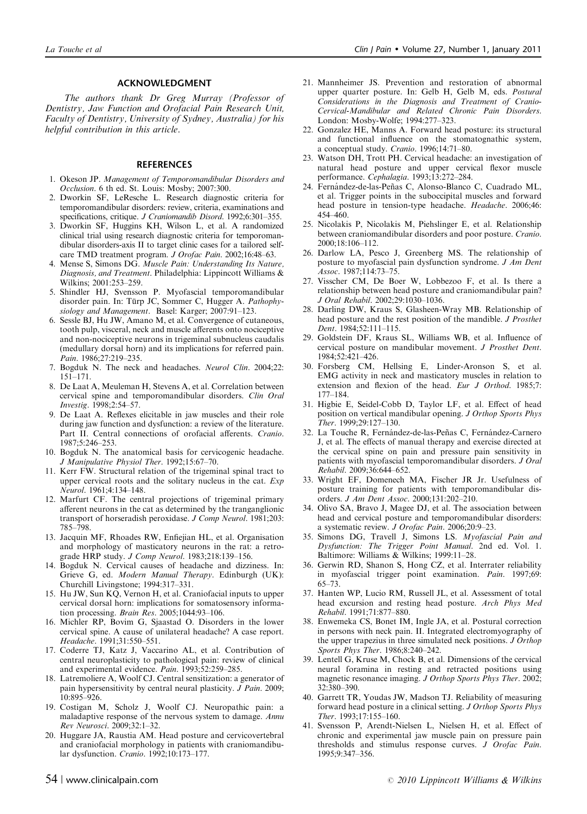#### ACKNOWLEDGMENT

The authors thank Dr Greg Murray (Professor of Dentistry, Jaw Function and Orofacial Pain Research Unit, Faculty of Dentistry, University of Sydney, Australia) for his helpful contribution in this article.

#### **REFERENCES**

- 1. Okeson JP. Management of Temporomandibular Disorders and Occlusion. 6 th ed. St. Louis: Mosby; 2007:300.
- 2. Dworkin SF, LeResche L. Research diagnostic criteria for temporomandibular disorders: review, criteria, examinations and specifications, critique. J Craniomandib Disord. 1992;6:301-355.
- 3. Dworkin SF, Huggins KH, Wilson L, et al. A randomized clinical trial using research diagnostic criteria for temporomandibular disorders-axis II to target clinic cases for a tailored selfcare TMD treatment program. J Orofac Pain. 2002;16:48-63.
- 4. Mense S, Simons DG. Muscle Pain: Understanding Its Nature, Diagnosis, and Treatment. Philadelphia: Lippincott Williams & Wilkins; 2001:253–259.
- 5. Shindler HJ, Svensson P. Myofascial temporomandibular disorder pain. In: Türp JC, Sommer C, Hugger A. Pathophysiology and Management. Basel: Karger; 2007:91–123.
- 6. Sessle BJ, Hu JW, Amano M, et al. Convergence of cutaneous, tooth pulp, visceral, neck and muscle afferents onto nociceptive and non-nociceptive neurons in trigeminal subnucleus caudalis (medullary dorsal horn) and its implications for referred pain. Pain. 1986;27:219–235.
- 7. Bogduk N. The neck and headaches. Neurol Clin. 2004;22: 151–171.
- 8. De Laat A, Meuleman H, Stevens A, et al. Correlation between cervical spine and temporomandibular disorders. Clin Oral Investig. 1998;2:54–57.
- 9. De Laat A. Reflexes elicitable in jaw muscles and their role during jaw function and dysfunction: a review of the literature. Part II. Central connections of orofacial afferents. Cranio. 1987;5:246–253.
- 10. Bogduk N. The anatomical basis for cervicogenic headache. J Manipulative Physiol Ther. 1992;15:67–70.
- 11. Kerr FW. Structural relation of the trigeminal spinal tract to upper cervical roots and the solitary nucleus in the cat. Exp Neurol. 1961;4:134–148.
- 12. Marfurt CF. The central projections of trigeminal primary afferent neurons in the cat as determined by the tranganglionic transport of horseradish peroxidase. J Comp Neurol. 1981;203: 785–798.
- 13. Jacquin MF, Rhoades RW, Enfiejian HL, et al. Organisation and morphology of masticatory neurons in the rat: a retrograde HRP study. J Comp Neurol. 1983;218:139–156.
- 14. Bogduk N. Cervical causes of headache and dizziness. In: Grieve G, ed. Modern Manual Therapy. Edinburgh (UK): Churchill Livingstone; 1994:317–331.
- 15. Hu JW, Sun KQ, Vernon H, et al. Craniofacial inputs to upper cervical dorsal horn: implications for somatosensory information processing. Brain Res. 2005;1044:93–106.
- 16. Michler RP, Bovim G, Sjaastad O. Disorders in the lower cervical spine. A cause of unilateral headache? A case report. Headache. 1991;31:550–551.
- 17. Coderre TJ, Katz J, Vaccarino AL, et al. Contribution of central neuroplasticity to pathological pain: review of clinical and experimental evidence. Pain. 1993;52:259–285.
- 18. Latremoliere A, Woolf CJ. Central sensitization: a generator of pain hypersensitivity by central neural plasticity. J Pain. 2009; 10:895–926.
- 19. Costigan M, Scholz J, Woolf CJ. Neuropathic pain: a maladaptive response of the nervous system to damage. Annu Rev Neurosci. 2009;32:1–32.
- 20. Huggare JA, Raustia AM. Head posture and cervicovertebral and craniofacial morphology in patients with craniomandibular dysfunction. Cranio. 1992;10:173–177.
- 21. Mannheimer JS. Prevention and restoration of abnormal upper quarter posture. In: Gelb H, Gelb M, eds. Postural Considerations in the Diagnosis and Treatment of Cranio-Cervical-Mandibular and Related Chronic Pain Disorders. London: Mosby-Wolfe; 1994:277–323.
- 22. Gonzalez HE, Manns A. Forward head posture: its structural and functional influence on the stomatognathic system, a conceptual study. Cranio. 1996;14:71–80.
- 23. Watson DH, Trott PH. Cervical headache: an investigation of natural head posture and upper cervical flexor muscle performance. Cephalagia. 1993;13:272-284.
- 24. Fernández-de-las-Peñas C, Alonso-Blanco C, Cuadrado ML, et al. Trigger points in the suboccipital muscles and forward head posture in tension-type headache. Headache. 2006;46: 454–460.
- 25. Nicolakis P, Nicolakis M, Piehslinger E, et al. Relationship between craniomandibular disorders and poor posture. Cranio. 2000;18:106–112.
- 26. Darlow LA, Pesco J, Greenberg MS. The relationship of posture to myofascial pain dysfunction syndrome. J Am Dent Assoc. 1987;114:73–75.
- 27. Visscher CM, De Boer W, Lobbezoo F, et al. Is there a relationship between head posture and craniomandibular pain? J Oral Rehabil. 2002;29:1030–1036.
- 28. Darling DW, Kraus S, Glasheen-Wray MB. Relationship of head posture and the rest position of the mandible. J Prosthet Dent. 1984;52:111–115.
- 29. Goldstein DF, Kraus SL, Williams WB, et al. Influence of cervical posture on mandibular movement. J Prosthet Dent. 1984;52:421–426.
- 30. Forsberg CM, Hellsing E, Linder-Aronson S, et al. EMG activity in neck and masticatory muscles in relation to extension and flexion of the head. Eur J Orthod. 1985;7: 177–184.
- 31. Higbie E, Seidel-Cobb D, Taylor LF, et al. Effect of head position on vertical mandibular opening. J Orthop Sports Phys Ther. 1999;29:127–130.
- 32. La Touche R, Fernández-de-las-Peñas C, Fernández-Carnero J, et al. The effects of manual therapy and exercise directed at the cervical spine on pain and pressure pain sensitivity in patients with myofascial temporomandibular disorders. J Oral Rehabil. 2009;36:644–652.
- 33. Wright EF, Domenech MA, Fischer JR Jr. Usefulness of posture training for patients with temporomandibular disorders. J Am Dent Assoc. 2000;131:202–210.
- 34. Olivo SA, Bravo J, Magee DJ, et al. The association between head and cervical posture and temporomandibular disorders: a systematic review. J Orofac Pain. 2006;20:9–23.
- 35. Simons DG, Travell J, Simons LS. Myofascial Pain and Dysfunction: The Trigger Point Manual. 2nd ed. Vol. 1. Baltimore: Williams & Wilkins; 1999:11–28.
- 36. Gerwin RD, Shanon S, Hong CZ, et al. Interrater reliability in myofascial trigger point examination. Pain. 1997;69: 65–73.
- 37. Hanten WP, Lucio RM, Russell JL, et al. Assessment of total head excursion and resting head posture. Arch Phys Med Rehabil. 1991;71:877–880.
- 38. Enwemeka CS, Bonet IM, Ingle JA, et al. Postural correction in persons with neck pain. II. Integrated electromyography of the upper trapezius in three simulated neck positions. J Orthop Sports Phys Ther. 1986;8:240–242.
- 39. Lentell G, Kruse M, Chock B, et al. Dimensions of the cervical neural foramina in resting and retracted positions using magnetic resonance imaging. J Orthop Sports Phys Ther. 2002; 32:380–390.
- 40. Garrett TR, Youdas JW, Madson TJ. Reliability of measuring forward head posture in a clinical setting. J Orthop Sports Phys Ther. 1993;17:155–160.
- 41. Svensson P, Arendt-Nielsen L, Nielsen H, et al. Effect of chronic and experimental jaw muscle pain on pressure pain thresholds and stimulus response curves. J Orofac Pain. 1995;9:347–356.